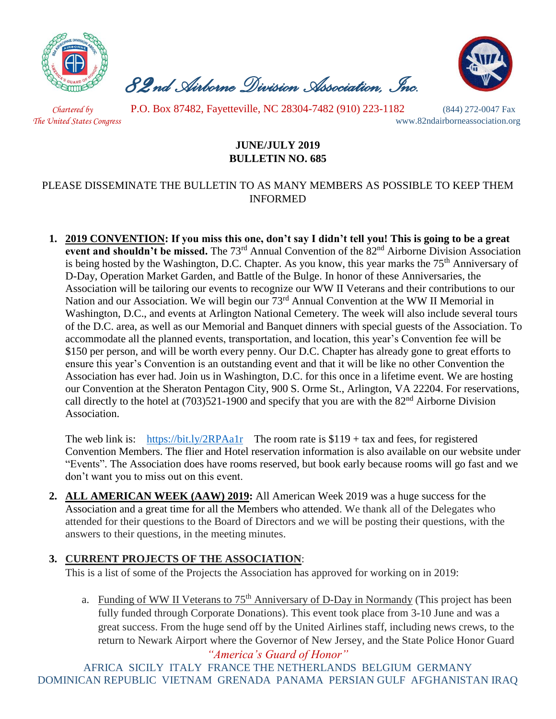

 *82nd Airborne Division Association, Inc.* 



 *Chartered by* P.O. Box 87482, Fayetteville, NC 28304-7482 (910) 223-1182 (844) 272-0047 Fax

*The United States Congress* www.82ndairborneassociation.org

## **JUNE/JULY 2019 BULLETIN NO. 685**

## PLEASE DISSEMINATE THE BULLETIN TO AS MANY MEMBERS AS POSSIBLE TO KEEP THEM INFORMED

**1. 2019 CONVENTION: If you miss this one, don't say I didn't tell you! This is going to be a great event and shouldn't be missed.** The 73<sup>rd</sup> Annual Convention of the 82<sup>nd</sup> Airborne Division Association is being hosted by the Washington, D.C. Chapter. As you know, this year marks the 75<sup>th</sup> Anniversary of D-Day, Operation Market Garden, and Battle of the Bulge. In honor of these Anniversaries, the Association will be tailoring our events to recognize our WW II Veterans and their contributions to our Nation and our Association. We will begin our 73<sup>rd</sup> Annual Convention at the WW II Memorial in Washington, D.C., and events at Arlington National Cemetery. The week will also include several tours of the D.C. area, as well as our Memorial and Banquet dinners with special guests of the Association. To accommodate all the planned events, transportation, and location, this year's Convention fee will be \$150 per person, and will be worth every penny. Our D.C. Chapter has already gone to great efforts to ensure this year's Convention is an outstanding event and that it will be like no other Convention the Association has ever had. Join us in Washington, D.C. for this once in a lifetime event. We are hosting our Convention at the Sheraton Pentagon City, 900 S. Orme St., Arlington, VA 22204. For reservations, call directly to the hotel at  $(703)521-1900$  and specify that you are with the  $82<sup>nd</sup>$  Airborne Division Association.

The web link is: <https://bit.ly/2RPAa1r>The room rate is  $$119 + tax$  and fees, for registered Convention Members. The flier and Hotel reservation information is also available on our website under "Events". The Association does have rooms reserved, but book early because rooms will go fast and we don't want you to miss out on this event.

**2. ALL AMERICAN WEEK (AAW) 2019:** All American Week 2019 was a huge success for the Association and a great time for all the Members who attended. We thank all of the Delegates who attended for their questions to the Board of Directors and we will be posting their questions, with the answers to their questions, in the meeting minutes.

## **3. CURRENT PROJECTS OF THE ASSOCIATION**:

This is a list of some of the Projects the Association has approved for working on in 2019:

*"America's Guard of Honor"* a. Funding of WW II Veterans to 75<sup>th</sup> Anniversary of D-Day in Normandy (This project has been fully funded through Corporate Donations). This event took place from 3-10 June and was a great success. From the huge send off by the United Airlines staff, including news crews, to the return to Newark Airport where the Governor of New Jersey, and the State Police Honor Guard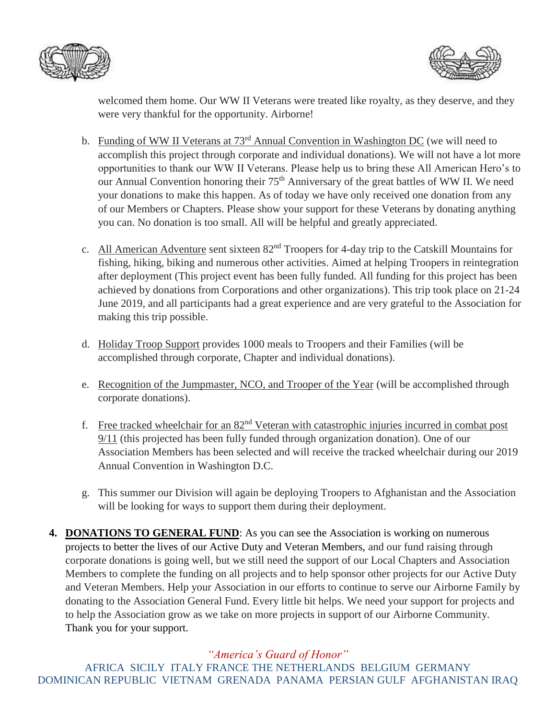



welcomed them home. Our WW II Veterans were treated like royalty, as they deserve, and they were very thankful for the opportunity. Airborne!

- b. Funding of WW II Veterans at 73<sup>rd</sup> Annual Convention in Washington DC (we will need to accomplish this project through corporate and individual donations). We will not have a lot more opportunities to thank our WW II Veterans. Please help us to bring these All American Hero's to our Annual Convention honoring their 75<sup>th</sup> Anniversary of the great battles of WW II. We need your donations to make this happen. As of today we have only received one donation from any of our Members or Chapters. Please show your support for these Veterans by donating anything you can. No donation is too small. All will be helpful and greatly appreciated.
- c. All American Adventure sent sixteen 82nd Troopers for 4-day trip to the Catskill Mountains for fishing, hiking, biking and numerous other activities. Aimed at helping Troopers in reintegration after deployment (This project event has been fully funded. All funding for this project has been achieved by donations from Corporations and other organizations). This trip took place on 21-24 June 2019, and all participants had a great experience and are very grateful to the Association for making this trip possible.
- d. Holiday Troop Support provides 1000 meals to Troopers and their Families (will be accomplished through corporate, Chapter and individual donations).
- e. Recognition of the Jumpmaster, NCO, and Trooper of the Year (will be accomplished through corporate donations).
- f. Free tracked wheelchair for an 82nd Veteran with catastrophic injuries incurred in combat post 9/11 (this projected has been fully funded through organization donation). One of our Association Members has been selected and will receive the tracked wheelchair during our 2019 Annual Convention in Washington D.C.
- g. This summer our Division will again be deploying Troopers to Afghanistan and the Association will be looking for ways to support them during their deployment.
- **4. DONATIONS TO GENERAL FUND**: As you can see the Association is working on numerous projects to better the lives of our Active Duty and Veteran Members, and our fund raising through corporate donations is going well, but we still need the support of our Local Chapters and Association Members to complete the funding on all projects and to help sponsor other projects for our Active Duty and Veteran Members. Help your Association in our efforts to continue to serve our Airborne Family by donating to the Association General Fund. Every little bit helps. We need your support for projects and to help the Association grow as we take on more projects in support of our Airborne Community. Thank you for your support.

## *"America's Guard of Honor"*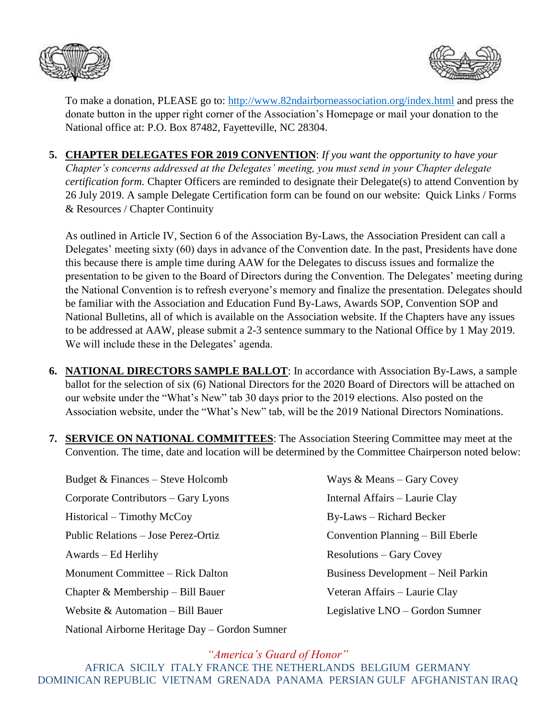



To make a donation, PLEASE go to:<http://www.82ndairborneassociation.org/index.html> and press the donate button in the upper right corner of the Association's Homepage or mail your donation to the National office at: P.O. Box 87482, Fayetteville, NC 28304.

**5. CHAPTER DELEGATES FOR 2019 CONVENTION**: *If you want the opportunity to have your Chapter's concerns addressed at the Delegates' meeting, you must send in your Chapter delegate certification form.* Chapter Officers are reminded to designate their Delegate(s) to attend Convention by 26 July 2019. A sample Delegate Certification form can be found on our website: Quick Links / Forms & Resources / Chapter Continuity

As outlined in Article IV, Section 6 of the Association By-Laws, the Association President can call a Delegates' meeting sixty (60) days in advance of the Convention date. In the past, Presidents have done this because there is ample time during AAW for the Delegates to discuss issues and formalize the presentation to be given to the Board of Directors during the Convention. The Delegates' meeting during the National Convention is to refresh everyone's memory and finalize the presentation. Delegates should be familiar with the Association and Education Fund By-Laws, Awards SOP, Convention SOP and National Bulletins, all of which is available on the Association website. If the Chapters have any issues to be addressed at AAW, please submit a 2-3 sentence summary to the National Office by 1 May 2019. We will include these in the Delegates' agenda.

- **6. NATIONAL DIRECTORS SAMPLE BALLOT**: In accordance with Association By-Laws, a sample ballot for the selection of six (6) National Directors for the 2020 Board of Directors will be attached on our website under the "What's New" tab 30 days prior to the 2019 elections. Also posted on the Association website, under the "What's New" tab, will be the 2019 National Directors Nominations.
- **7. SERVICE ON NATIONAL COMMITTEES**: The Association Steering Committee may meet at the Convention. The time, date and location will be determined by the Committee Chairperson noted below:

Budget & Finances – Steve Holcomb Ways & Means – Gary Covey Corporate Contributors – Gary Lyons Internal Affairs – Laurie Clay Historical – Timothy McCoy By-Laws – Richard Becker Public Relations – Jose Perez-Ortiz Convention Planning – Bill Eberle Awards – Ed Herlihy Resolutions – Gary Covey Monument Committee – Rick Dalton Business Development – Neil Parkin Chapter & Membership – Bill Bauer Veteran Affairs – Laurie Clay Website  $&$  Automation – Bill Bauer Legislative LNO – Gordon Sumner National Airborne Heritage Day – Gordon Sumner

*"America's Guard of Honor"*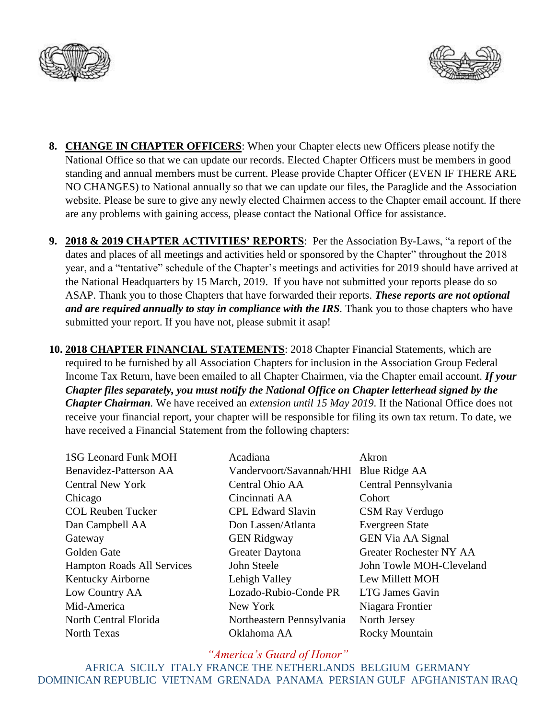



- **8. CHANGE IN CHAPTER OFFICERS**: When your Chapter elects new Officers please notify the National Office so that we can update our records. Elected Chapter Officers must be members in good standing and annual members must be current. Please provide Chapter Officer (EVEN IF THERE ARE NO CHANGES) to National annually so that we can update our files, the Paraglide and the Association website. Please be sure to give any newly elected Chairmen access to the Chapter email account. If there are any problems with gaining access, please contact the National Office for assistance.
- **9. 2018 & 2019 CHAPTER ACTIVITIES' REPORTS**: Per the Association By-Laws, "a report of the dates and places of all meetings and activities held or sponsored by the Chapter" throughout the 2018 year, and a "tentative" schedule of the Chapter's meetings and activities for 2019 should have arrived at the National Headquarters by 15 March, 2019. If you have not submitted your reports please do so ASAP. Thank you to those Chapters that have forwarded their reports. *These reports are not optional and are required annually to stay in compliance with the IRS.* Thank you to those chapters who have submitted your report. If you have not, please submit it asap!

**10. 2018 CHAPTER FINANCIAL STATEMENTS**: 2018 Chapter Financial Statements, which are required to be furnished by all Association Chapters for inclusion in the Association Group Federal Income Tax Return, have been emailed to all Chapter Chairmen, via the Chapter email account. *If your Chapter files separately, you must notify the National Office on Chapter letterhead signed by the Chapter Chairman.* We have received an *extension until 15 May 2019*. If the National Office does not receive your financial report, your chapter will be responsible for filing its own tax return. To date, we have received a Financial Statement from the following chapters:

1SG Leonard Funk MOH Acadiana Akron

Benavidez-Patterson AA Vandervoort/Savannah/HHI Blue Ridge AA Central New York Central Ohio AA Central Pennsylvania Chicago Cincinnati AA Cohort COL Reuben Tucker CPL Edward Slavin CSM Ray Verdugo Dan Campbell AA Don Lassen/Atlanta Evergreen State Gateway GEN Ridgway GEN Via AA Signal Golden Gate Greater Daytona Greater Rochester NY AA Hampton Roads All Services John Steele John Towle MOH-Cleveland Kentucky Airborne Lehigh Valley Lew Millett MOH Low Country AA Lozado-Rubio-Conde PR LTG James Gavin Mid-America New York Niagara Frontier North Central Florida Northeastern Pennsylvania North Jersey North Texas Cklahoma AA Rocky Mountain

*"America's Guard of Honor"*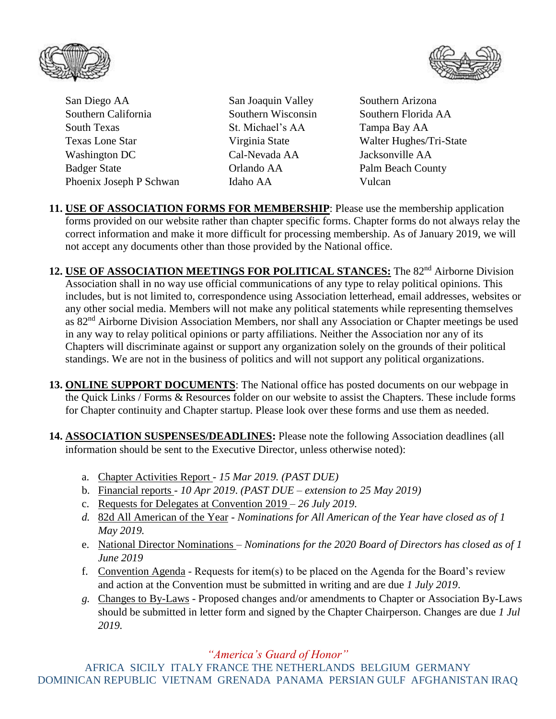



San Diego AA Southern California Southern Wisconsin Southern Florida AA South Texas St. Michael's AA Tampa Bay AA Texas Lone Star Virginia State Walter Hughes/Tri-State Washington DC Cal-Nevada AA Jacksonville AA Badger State **Orlando AA** Palm Beach County Phoenix Joseph P Schwan Idaho AA Vulcan

San Joaquin Valley Southern Arizona

- **11. USE OF ASSOCIATION FORMS FOR MEMBERSHIP**: Please use the membership application forms provided on our website rather than chapter specific forms. Chapter forms do not always relay the correct information and make it more difficult for processing membership. As of January 2019, we will not accept any documents other than those provided by the National office.
- 12. **USE OF ASSOCIATION MEETINGS FOR POLITICAL STANCES:** The 82<sup>nd</sup> Airborne Division Association shall in no way use official communications of any type to relay political opinions. This includes, but is not limited to, correspondence using Association letterhead, email addresses, websites or any other social media. Members will not make any political statements while representing themselves as 82nd Airborne Division Association Members, nor shall any Association or Chapter meetings be used in any way to relay political opinions or party affiliations. Neither the Association nor any of its Chapters will discriminate against or support any organization solely on the grounds of their political standings. We are not in the business of politics and will not support any political organizations.
- **13. ONLINE SUPPORT DOCUMENTS**: The National office has posted documents on our webpage in the Quick Links / Forms & Resources folder on our website to assist the Chapters. These include forms for Chapter continuity and Chapter startup. Please look over these forms and use them as needed.
- **14. ASSOCIATION SUSPENSES/DEADLINES:** Please note the following Association deadlines (all information should be sent to the Executive Director, unless otherwise noted):
	- a. Chapter Activities Report *15 Mar 2019. (PAST DUE)*
	- b. Financial reports *10 Apr 2019*. *(PAST DUE – extension to 25 May 2019)*
	- c. Requests for Delegates at Convention 2019 *26 July 2019*.
	- *d.* 82d All American of the Year *Nominations for All American of the Year have closed as of 1 May 2019.*
	- e. National Director Nominations *Nominations for the 2020 Board of Directors has closed as of 1 June 2019*
	- f. Convention Agenda Requests for item(s) to be placed on the Agenda for the Board's review and action at the Convention must be submitted in writing and are due *1 July 2019*.
	- *g.* Changes to By-Laws Proposed changes and/or amendments to Chapter or Association By-Laws should be submitted in letter form and signed by the Chapter Chairperson. Changes are due *1 Jul 2019.*

*"America's Guard of Honor"*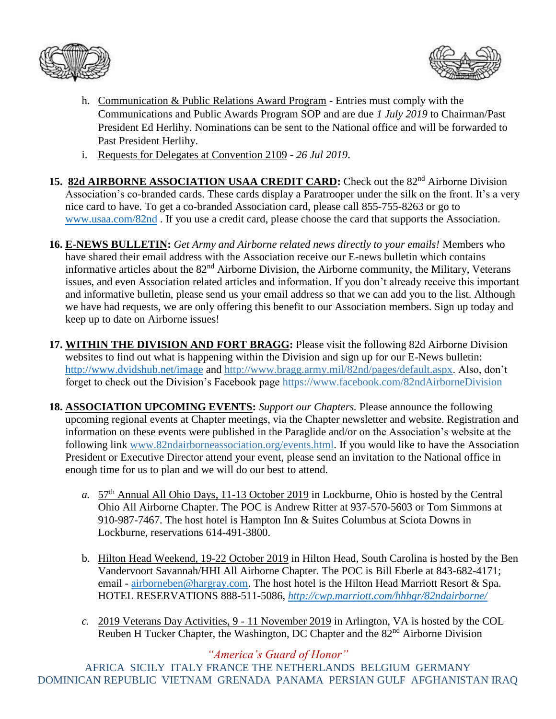



- h. Communication & Public Relations Award Program Entries must comply with the Communications and Public Awards Program SOP and are due *1 July 2019* to Chairman/Past President Ed Herlihy. Nominations can be sent to the National office and will be forwarded to Past President Herlihy.
- i. Requests for Delegates at Convention 2109 *26 Jul 2019*.
- 15. 82d AIRBORNE ASSOCIATION USAA CREDIT CARD: Check out the 82<sup>nd</sup> Airborne Division Association's co-branded cards. These cards display a Paratrooper under the silk on the front. It's a very nice card to have. To get a co-branded Association card, please call 855-755-8263 or go to [www.usaa.com/82nd](http://www.usaa.com/82nd) . If you use a credit card, please choose the card that supports the Association.
- **16. E-NEWS BULLETIN:** *Get Army and Airborne related news directly to your emails!* Members who have shared their email address with the Association receive our E-news bulletin which contains informative articles about the 82<sup>nd</sup> Airborne Division, the Airborne community, the Military, Veterans issues, and even Association related articles and information. If you don't already receive this important and informative bulletin, please send us your email address so that we can add you to the list. Although we have had requests, we are only offering this benefit to our Association members. Sign up today and keep up to date on Airborne issues!
- **17. WITHIN THE DIVISION AND FORT BRAGG:** Please visit the following 82d Airborne Division websites to find out what is happening within the Division and sign up for our E-News bulletin: <http://www.dvidshub.net/image> and [http://www.bragg.army.mil/82nd/pages/default.aspx.](http://www.bragg.army.mil/82ND/Pages/default.aspx) Also, don't forget to check out the Division's Facebook page<https://www.facebook.com/82ndAirborneDivision>
- **18. ASSOCIATION UPCOMING EVENTS:** *Support our Chapters.* Please announce the following upcoming regional events at Chapter meetings, via the Chapter newsletter and website. Registration and information on these events were published in the Paraglide and/or on the Association's website at the following link [www.82ndairborneassociation.org/events.html.](http://www.82ndairborneassociation.org/events.html) If you would like to have the Association President or Executive Director attend your event, please send an invitation to the National office in enough time for us to plan and we will do our best to attend.
	- *a.* 57th Annual All Ohio Days, 11-13 October 2019 in Lockburne, Ohio is hosted by the Central Ohio All Airborne Chapter. The POC is Andrew Ritter at 937-570-5603 or Tom Simmons at 910-987-7467. The host hotel is Hampton Inn & Suites Columbus at Sciota Downs in Lockburne, reservations 614-491-3800.
	- b. Hilton Head Weekend, 19-22 October 2019 in Hilton Head, South Carolina is hosted by the Ben Vandervoort Savannah/HHI All Airborne Chapter. The POC is Bill Eberle at 843-682-4171; email - [airborneben@hargray.com.](mailto:airborneben@hargray.com) The host hotel is the Hilton Head Marriott Resort & Spa. HOTEL RESERVATIONS 888-511-5086, *<http://cwp.marriott.com/hhhgr/82ndairborne/>*
	- *c.* 2019 Veterans Day Activities, 9 11 November 2019 in Arlington, VA is hosted by the COL Reuben H Tucker Chapter, the Washington, DC Chapter and the 82<sup>nd</sup> Airborne Division